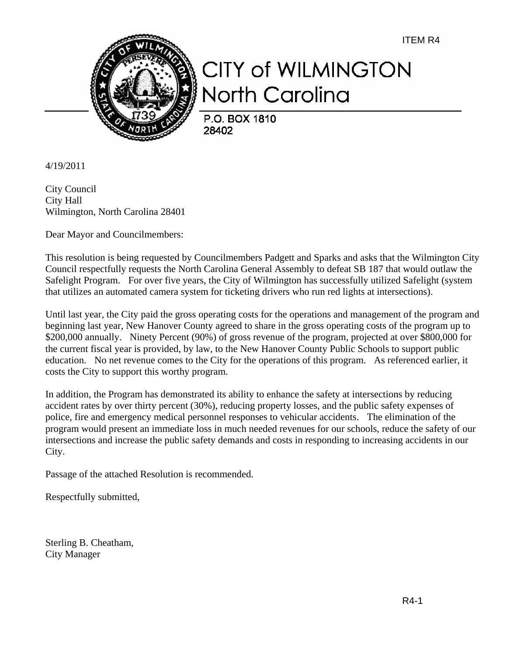ITEM R4



## **CITY of WILMINGTON** North Carolina

P.O. BOX 1810 28402

4/19/2011

City Council City Hall Wilmington, North Carolina 28401

Dear Mayor and Councilmembers:

This resolution is being requested by Councilmembers Padgett and Sparks and asks that the Wilmington City Council respectfully requests the North Carolina General Assembly to defeat SB 187 that would outlaw the Safelight Program. For over five years, the City of Wilmington has successfully utilized Safelight (system that utilizes an automated camera system for ticketing drivers who run red lights at intersections).

Until last year, the City paid the gross operating costs for the operations and management of the program and beginning last year, New Hanover County agreed to share in the gross operating costs of the program up to \$200,000 annually. Ninety Percent (90%) of gross revenue of the program, projected at over \$800,000 for the current fiscal year is provided, by law, to the New Hanover County Public Schools to support public education. No net revenue comes to the City for the operations of this program. As referenced earlier, it costs the City to support this worthy program.

In addition, the Program has demonstrated its ability to enhance the safety at intersections by reducing accident rates by over thirty percent (30%), reducing property losses, and the public safety expenses of police, fire and emergency medical personnel responses to vehicular accidents. The elimination of the program would present an immediate loss in much needed revenues for our schools, reduce the safety of our intersections and increase the public safety demands and costs in responding to increasing accidents in our City.

Passage of the attached Resolution is recommended.

Respectfully submitted,

Sterling B. Cheatham, City Manager